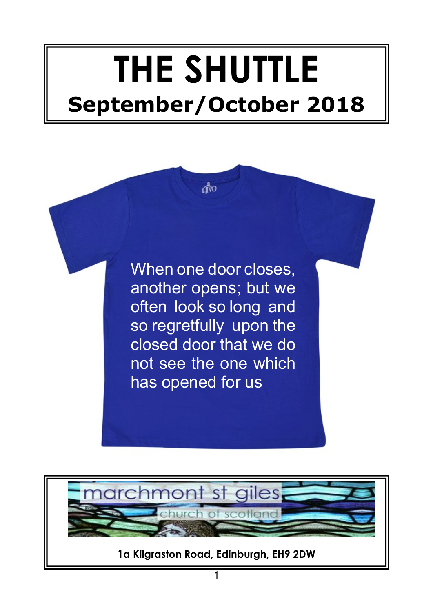# **THE SHUTTLE September/October 2018**

divo

When one door closes, another opens; but we often look so long and so regretfully upon the closed door that we do not see the one which has opened for us

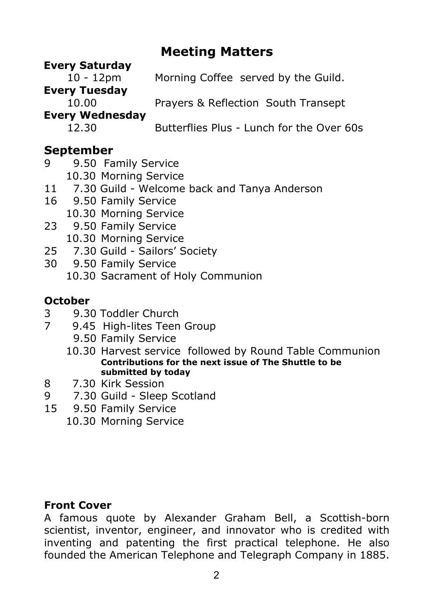## **Meeting Matters**

#### **Every Saturday**

10 - 12pm Morning Coffee served by the Guild.

#### **Every Tuesday**

10.00 Prayers & Reflection South Transept

### **Every Wednesday**

12.30 Butterflies Plus - Lunch for the Over 60s

## **September**

- 9 9.50 Family Service
	- 10.30 Morning Service
- 11 7.30 Guild Welcome back and Tanya Anderson
- 16 9.50 Family Service
	- 10.30 Morning Service
- 23 9.50 Family Service 10.30 Morning Service
- 25 7.30 Guild Sailors' Society
- 30 9.50 Family Service 10.30 Sacrament of Holy Communion

#### **October**

- 3 9.30 Toddler Church
- 7 9.45 High-lites Teen Group
	- 9.50 Family Service
	- 10.30 Harvest service followed by Round Table Communion **Contributions for the next issue of The Shuttle to be submitted by today**
- 8 7.30 Kirk Session
- 9 7.30 Guild Sleep Scotland
- 15 9.50 Family Service
	- 10.30 Morning Service

#### **Front Cover**

A famous quote by Alexander Graham Bell, a Scottish-born scientist, inventor, engineer, and innovator who is credited with inventing and patenting the first practical telephone. He also founded the American Telephone and Telegraph Company in 1885.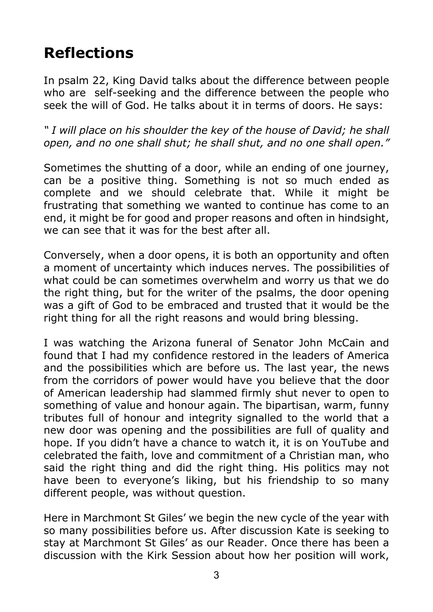# **Reflections**

In psalm 22, King David talks about the difference between people who are self-seeking and the difference between the people who seek the will of God. He talks about it in terms of doors. He says:

*" I will place on his shoulder the key of the house of David; he shall open, and no one shall shut; he shall shut, and no one shall open."*

Sometimes the shutting of a door, while an ending of one journey, can be a positive thing. Something is not so much ended as complete and we should celebrate that. While it might be frustrating that something we wanted to continue has come to an end, it might be for good and proper reasons and often in hindsight, we can see that it was for the best after all.

Conversely, when a door opens, it is both an opportunity and often a moment of uncertainty which induces nerves. The possibilities of what could be can sometimes overwhelm and worry us that we do the right thing, but for the writer of the psalms, the door opening was a gift of God to be embraced and trusted that it would be the right thing for all the right reasons and would bring blessing.

I was watching the Arizona funeral of Senator John McCain and found that I had my confidence restored in the leaders of America and the possibilities which are before us. The last year, the news from the corridors of power would have you believe that the door of American leadership had slammed firmly shut never to open to something of value and honour again. The bipartisan, warm, funny tributes full of honour and integrity signalled to the world that a new door was opening and the possibilities are full of quality and hope. If you didn't have a chance to watch it, it is on YouTube and celebrated the faith, love and commitment of a Christian man, who said the right thing and did the right thing. His politics may not have been to everyone's liking, but his friendship to so many different people, was without question.

Here in Marchmont St Giles' we begin the new cycle of the year with so many possibilities before us. After discussion Kate is seeking to stay at Marchmont St Giles' as our Reader. Once there has been a discussion with the Kirk Session about how her position will work,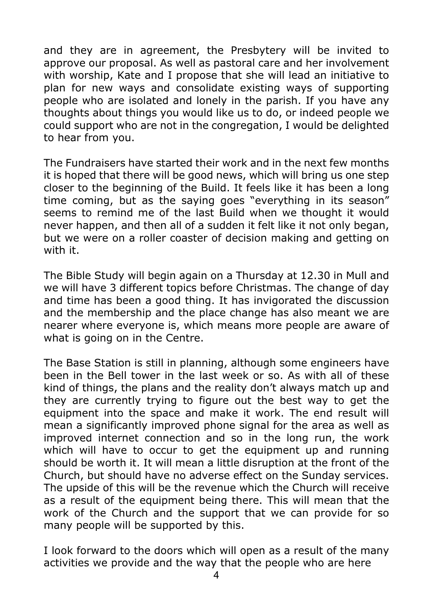and they are in agreement, the Presbytery will be invited to approve our proposal. As well as pastoral care and her involvement with worship, Kate and I propose that she will lead an initiative to plan for new ways and consolidate existing ways of supporting people who are isolated and lonely in the parish. If you have any thoughts about things you would like us to do, or indeed people we could support who are not in the congregation, I would be delighted to hear from you.

The Fundraisers have started their work and in the next few months it is hoped that there will be good news, which will bring us one step closer to the beginning of the Build. It feels like it has been a long time coming, but as the saying goes "everything in its season" seems to remind me of the last Build when we thought it would never happen, and then all of a sudden it felt like it not only began, but we were on a roller coaster of decision making and getting on with it.

The Bible Study will begin again on a Thursday at 12.30 in Mull and we will have 3 different topics before Christmas. The change of day and time has been a good thing. It has invigorated the discussion and the membership and the place change has also meant we are nearer where everyone is, which means more people are aware of what is going on in the Centre.

The Base Station is still in planning, although some engineers have been in the Bell tower in the last week or so. As with all of these kind of things, the plans and the reality don't always match up and they are currently trying to figure out the best way to get the equipment into the space and make it work. The end result will mean a significantly improved phone signal for the area as well as improved internet connection and so in the long run, the work which will have to occur to get the equipment up and running should be worth it. It will mean a little disruption at the front of the Church, but should have no adverse effect on the Sunday services. The upside of this will be the revenue which the Church will receive as a result of the equipment being there. This will mean that the work of the Church and the support that we can provide for so many people will be supported by this.

I look forward to the doors which will open as a result of the many activities we provide and the way that the people who are here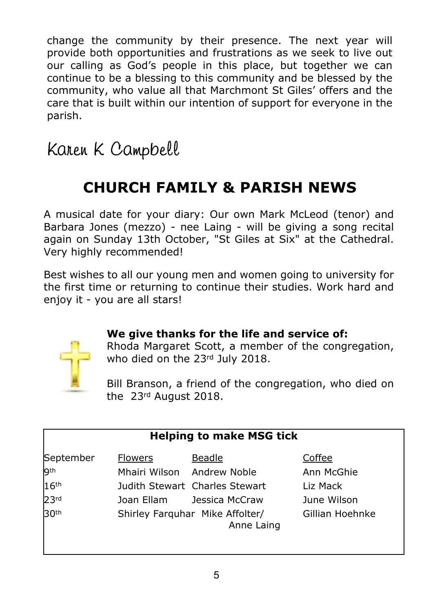change the community by their presence. The next year will provide both opportunities and frustrations as we seek to live out our calling as God's people in this place, but together we can continue to be a blessing to this community and be blessed by the community, who value all that Marchmont St Giles' offers and the care that is built within our intention of support for everyone in the parish.

Karen K Campbell

# **CHURCH FAMILY & PARISH NEWS**

A musical date for your diary: Our own Mark McLeod (tenor) and Barbara Jones (mezzo) - nee Laing - will be giving a song recital again on Sunday 13th October, "St Giles at Six" at the Cathedral. Very highly recommended!

Best wishes to all our young men and women going to university for the first time or returning to continue their studies. Work hard and enjoy it - you are all stars!



#### **We give thanks for the life and service of:**

Rhoda Margaret Scott, a member of the congregation, who died on the 23rd July 2018.

Bill Branson, a friend of the congregation, who died on the 23rd August 2018.

| <b>Helping to make MSG tick</b> |                            |                                               |                 |  |
|---------------------------------|----------------------------|-----------------------------------------------|-----------------|--|
| September                       | <b>Flowers</b>             | Beadle                                        | Coffee          |  |
| <b>gth</b>                      | Mhairi Wilson Andrew Noble |                                               | Ann McGhie      |  |
| 16 <sup>th</sup>                |                            | Judith Stewart Charles Stewart                | Liz Mack        |  |
| 23rd                            | Joan Ellam                 | Jessica McCraw                                | June Wilson     |  |
| 30th                            |                            | Shirley Farquhar Mike Affolter/<br>Anne Laing | Gillian Hoehnke |  |
|                                 |                            |                                               |                 |  |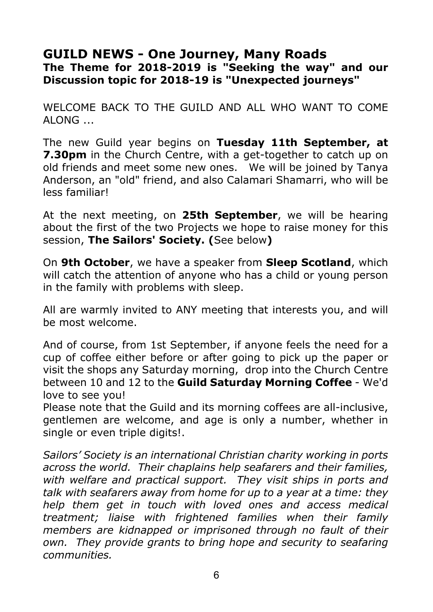#### **GUILD NEWS - One Journey, Many Roads The Theme for 2018-2019 is "Seeking the way" and our Discussion topic for 2018-19 is "Unexpected journeys"**

WELCOME BACK TO THE GUILD AND ALL WHO WANT TO COME  $AI$   $ONG$ 

The new Guild year begins on **Tuesday 11th September, at 7.30pm** in the Church Centre, with a get-together to catch up on old friends and meet some new ones. We will be joined by Tanya Anderson, an "old" friend, and also Calamari Shamarri, who will be less familiar!

At the next meeting, on **25th September**, we will be hearing about the first of the two Projects we hope to raise money for this session, **The Sailors' Society. (**See below**)**

On **9th October**, we have a speaker from **Sleep Scotland**, which will catch the attention of anyone who has a child or young person in the family with problems with sleep.

All are warmly invited to ANY meeting that interests you, and will be most welcome.

And of course, from 1st September, if anyone feels the need for a cup of coffee either before or after going to pick up the paper or visit the shops any Saturday morning, drop into the Church Centre between 10 and 12 to the **Guild Saturday Morning Coffee** - We'd love to see you!

Please note that the Guild and its morning coffees are all-inclusive, gentlemen are welcome, and age is only a number, whether in single or even triple digits!.

*Sailors' Society is an international Christian charity working in ports across the world. Their chaplains help seafarers and their families, with welfare and practical support. They visit ships in ports and talk with seafarers away from home for up to a year at a time: they help them get in touch with loved ones and access medical treatment; liaise with frightened families when their family members are kidnapped or imprisoned through no fault of their own. They provide grants to bring hope and security to seafaring communities.*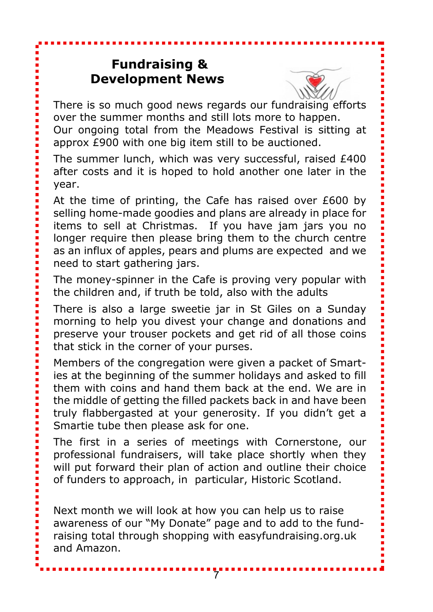## **Fundraising & Development News**



There is so much good news regards our fundraising efforts over the summer months and still lots more to happen.

Our ongoing total from the Meadows Festival is sitting at approx £900 with one big item still to be auctioned.

The summer lunch, which was very successful, raised £400 after costs and it is hoped to hold another one later in the year.

At the time of printing, the Cafe has raised over £600 by selling home-made goodies and plans are already in place for items to sell at Christmas. If you have jam jars you no longer require then please bring them to the church centre as an influx of apples, pears and plums are expected and we need to start gathering jars.

The money-spinner in the Cafe is proving very popular with the children and, if truth be told, also with the adults

There is also a large sweetie jar in St Giles on a Sunday morning to help you divest your change and donations and preserve your trouser pockets and get rid of all those coins that stick in the corner of your purses.

Members of the congregation were given a packet of Smarties at the beginning of the summer holidays and asked to fill them with coins and hand them back at the end. We are in the middle of getting the filled packets back in and have been truly flabbergasted at your generosity. If you didn't get a Smartie tube then please ask for one.

The first in a series of meetings with Cornerstone, our professional fundraisers, will take place shortly when they will put forward their plan of action and outline their choice of funders to approach, in particular, Historic Scotland.

Next month we will look at how you can help us to raise awareness of our "My Donate" page and to add to the fundraising total through shopping with easyfundraising.org.uk and Amazon.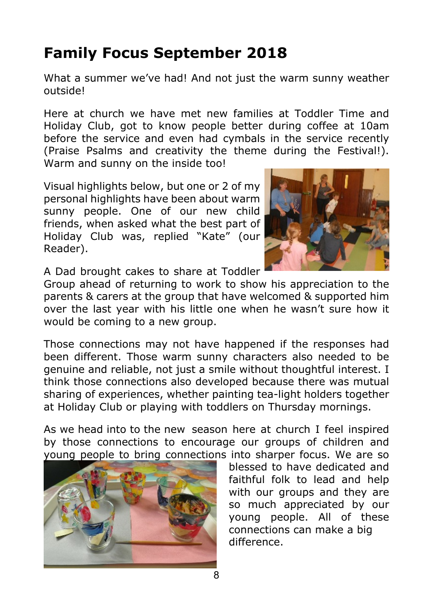# **Family Focus September 2018**

What a summer we've had! And not just the warm sunny weather outside!

Here at church we have met new families at Toddler Time and Holiday Club, got to know people better during coffee at 10am before the service and even had cymbals in the service recently (Praise Psalms and creativity the theme during the Festival!). Warm and sunny on the inside too!

Visual highlights below, but one or 2 of my personal highlights have been about warm sunny people. One of our new child friends, when asked what the best part of Holiday Club was, replied "Kate" (our Reader).



A Dad brought cakes to share at Toddler

Group ahead of returning to work to show his appreciation to the parents & carers at the group that have welcomed & supported him over the last year with his little one when he wasn't sure how it would be coming to a new group.

Those connections may not have happened if the responses had been different. Those warm sunny characters also needed to be genuine and reliable, not just a smile without thoughtful interest. I think those connections also developed because there was mutual sharing of experiences, whether painting tea-light holders together at Holiday Club or playing with toddlers on Thursday mornings.

As we head into to the new season here at church I feel inspired by those connections to encourage our groups of children and young people to bring connections into sharper focus. We are so



 blessed to have dedicated and faithful folk to lead and help with our groups and they are so much appreciated by our young people. All of these connections can make a big difference.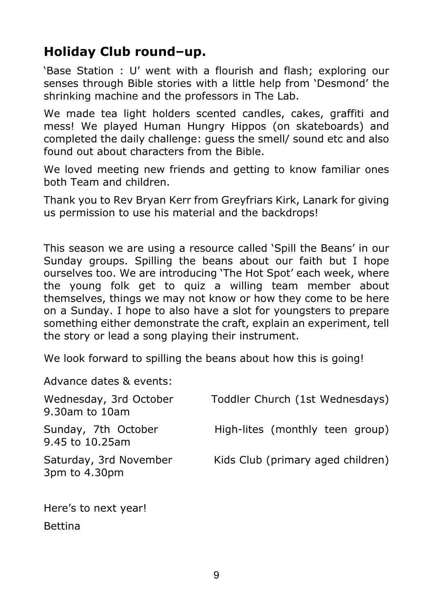## **Holiday Club round–up.**

'Base Station : U' went with a flourish and flash; exploring our senses through Bible stories with a little help from 'Desmond' the shrinking machine and the professors in The Lab.

We made tea light holders scented candles, cakes, graffiti and mess! We played Human Hungry Hippos (on skateboards) and completed the daily challenge: guess the smell/ sound etc and also found out about characters from the Bible.

We loved meeting new friends and getting to know familiar ones both Team and children.

Thank you to Rev Bryan Kerr from Greyfriars Kirk, Lanark for giving us permission to use his material and the backdrops!

This season we are using a resource called 'Spill the Beans' in our Sunday groups. Spilling the beans about our faith but I hope ourselves too. We are introducing 'The Hot Spot' each week, where the young folk get to quiz a willing team member about themselves, things we may not know or how they come to be here on a Sunday. I hope to also have a slot for youngsters to prepare something either demonstrate the craft, explain an experiment, tell the story or lead a song playing their instrument.

We look forward to spilling the beans about how this is going!

Advance dates & events:

| Wednesday, 3rd October<br>9.30am to 10am | Toddler Church (1st Wednesdays)   |
|------------------------------------------|-----------------------------------|
| Sunday, 7th October<br>9.45 to 10.25am   | High-lites (monthly teen group)   |
| Saturday, 3rd November<br>3pm to 4.30pm  | Kids Club (primary aged children) |

Here's to next year! Bettina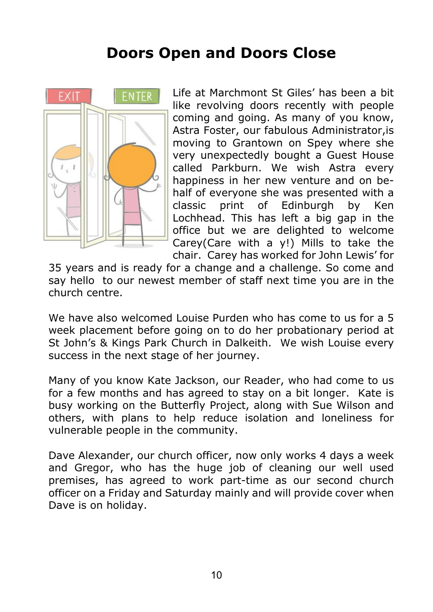## **Doors Open and Doors Close**



Life at Marchmont St Giles' has been a bit like revolving doors recently with people coming and going. As many of you know, Astra Foster, our fabulous Administrator,is moving to Grantown on Spey where she very unexpectedly bought a Guest House called Parkburn. We wish Astra every happiness in her new venture and on behalf of everyone she was presented with a classic print of Edinburgh by Ken Lochhead. This has left a big gap in the office but we are delighted to welcome Carey(Care with a y!) Mills to take the chair. Carey has worked for John Lewis' for

35 years and is ready for a change and a challenge. So come and say hello to our newest member of staff next time you are in the church centre.

We have also welcomed Louise Purden who has come to us for a 5 week placement before going on to do her probationary period at St John's & Kings Park Church in Dalkeith. We wish Louise every success in the next stage of her journey.

Many of you know Kate Jackson, our Reader, who had come to us for a few months and has agreed to stay on a bit longer. Kate is busy working on the Butterfly Project, along with Sue Wilson and others, with plans to help reduce isolation and loneliness for vulnerable people in the community.

Dave Alexander, our church officer, now only works 4 days a week and Gregor, who has the huge job of cleaning our well used premises, has agreed to work part-time as our second church officer on a Friday and Saturday mainly and will provide cover when Dave is on holiday.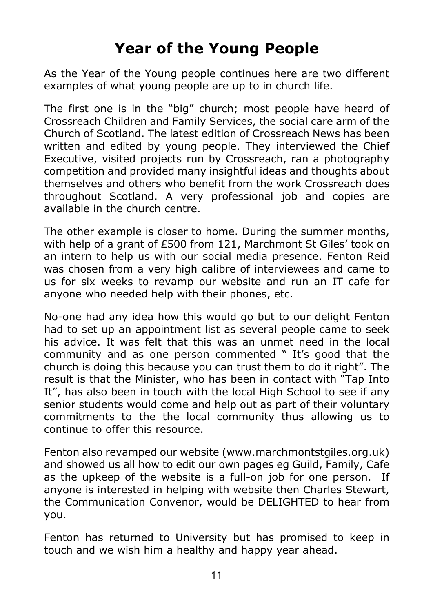# **Year of the Young People**

As the Year of the Young people continues here are two different examples of what young people are up to in church life.

The first one is in the "big" church; most people have heard of Crossreach Children and Family Services, the social care arm of the Church of Scotland. The latest edition of Crossreach News has been written and edited by young people. They interviewed the Chief Executive, visited projects run by Crossreach, ran a photography competition and provided many insightful ideas and thoughts about themselves and others who benefit from the work Crossreach does throughout Scotland. A very professional job and copies are available in the church centre.

The other example is closer to home. During the summer months, with help of a grant of £500 from 121, Marchmont St Giles' took on an intern to help us with our social media presence. Fenton Reid was chosen from a very high calibre of interviewees and came to us for six weeks to revamp our website and run an IT cafe for anyone who needed help with their phones, etc.

No-one had any idea how this would go but to our delight Fenton had to set up an appointment list as several people came to seek his advice. It was felt that this was an unmet need in the local community and as one person commented " It's good that the church is doing this because you can trust them to do it right". The result is that the Minister, who has been in contact with "Tap Into It", has also been in touch with the local High School to see if any senior students would come and help out as part of their voluntary commitments to the the local community thus allowing us to continue to offer this resource.

Fenton also revamped our website (www.marchmontstgiles.org.uk) and showed us all how to edit our own pages eg Guild, Family, Cafe as the upkeep of the website is a full-on job for one person. If anyone is interested in helping with website then Charles Stewart, the Communication Convenor, would be DELIGHTED to hear from you.

Fenton has returned to University but has promised to keep in touch and we wish him a healthy and happy year ahead.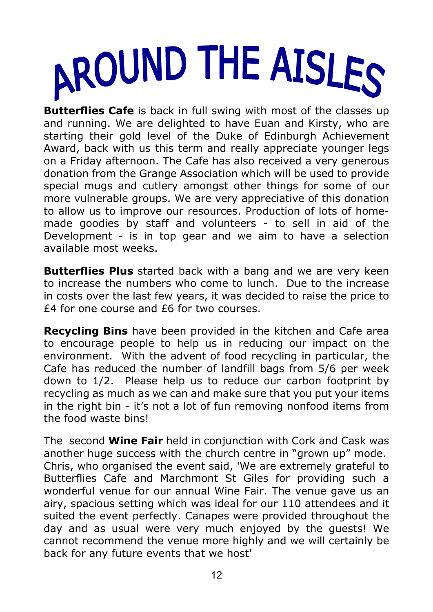

**Butterflies Cafe** is back in full swing with most of the classes up and running. We are delighted to have Euan and Kirsty, who are starting their gold level of the Duke of Edinburgh Achievement Award, back with us this term and really appreciate younger legs on a Friday afternoon. The Cafe has also received a very generous donation from the Grange Association which will be used to provide special mugs and cutlery amongst other things for some of our more vulnerable groups. We are very appreciative of this donation to allow us to improve our resources. Production of lots of homemade goodies by staff and volunteers - to sell in aid of the Development - is in top gear and we aim to have a selection available most weeks.

**Butterflies Plus** started back with a bang and we are very keen to increase the numbers who come to lunch. Due to the increase in costs over the last few years, it was decided to raise the price to £4 for one course and £6 for two courses.

**Recycling Bins** have been provided in the kitchen and Cafe area to encourage people to help us in reducing our impact on the environment. With the advent of food recycling in particular, the Cafe has reduced the number of landfill bags from 5/6 per week down to 1/2. Please help us to reduce our carbon footprint by recycling as much as we can and make sure that you put your items in the right bin - it's not a lot of fun removing nonfood items from the food waste bins!

The second **Wine Fair** held in conjunction with Cork and Cask was another huge success with the church centre in "grown up" mode. Chris, who organised the event said, 'We are extremely grateful to Butterflies Cafe and Marchmont St Giles for providing such a wonderful venue for our annual Wine Fair. The venue gave us an airy, spacious setting which was ideal for our 110 attendees and it suited the event perfectly. Canapes were provided throughout the day and as usual were very much enjoyed by the guests! We cannot recommend the venue more highly and we will certainly be back for any future events that we host'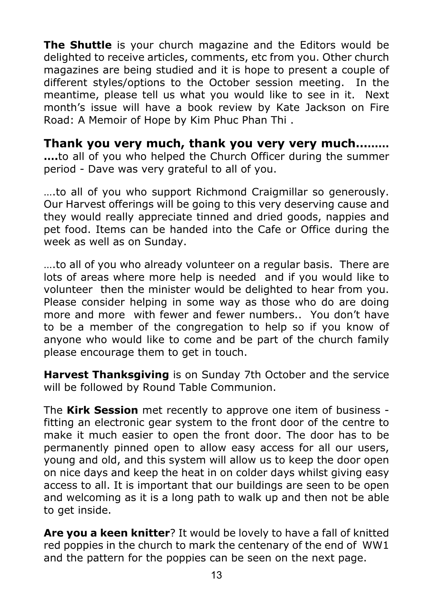**The Shuttle** is your church magazine and the Editors would be delighted to receive articles, comments, etc from you. Other church magazines are being studied and it is hope to present a couple of different styles/options to the October session meeting. In the meantime, please tell us what you would like to see in it. Next month's issue will have a book review by Kate Jackson on Fire Road: A Memoir of Hope by Kim Phuc Phan Thi .

**Thank you very much, thank you very very much……… ….**to all of you who helped the Church Officer during the summer period - Dave was very grateful to all of you.

….to all of you who support Richmond Craigmillar so generously. Our Harvest offerings will be going to this very deserving cause and they would really appreciate tinned and dried goods, nappies and pet food. Items can be handed into the Cafe or Office during the week as well as on Sunday.

….to all of you who already volunteer on a regular basis. There are lots of areas where more help is needed and if you would like to volunteer then the minister would be delighted to hear from you. Please consider helping in some way as those who do are doing more and more with fewer and fewer numbers.. You don't have to be a member of the congregation to help so if you know of anyone who would like to come and be part of the church family please encourage them to get in touch.

**Harvest Thanksgiving** is on Sunday 7th October and the service will be followed by Round Table Communion.

The **Kirk Session** met recently to approve one item of business fitting an electronic gear system to the front door of the centre to make it much easier to open the front door. The door has to be permanently pinned open to allow easy access for all our users, young and old, and this system will allow us to keep the door open on nice days and keep the heat in on colder days whilst giving easy access to all. It is important that our buildings are seen to be open and welcoming as it is a long path to walk up and then not be able to get inside.

**Are you a keen knitter**? It would be lovely to have a fall of knitted red poppies in the church to mark the centenary of the end of WW1 and the pattern for the poppies can be seen on the next page.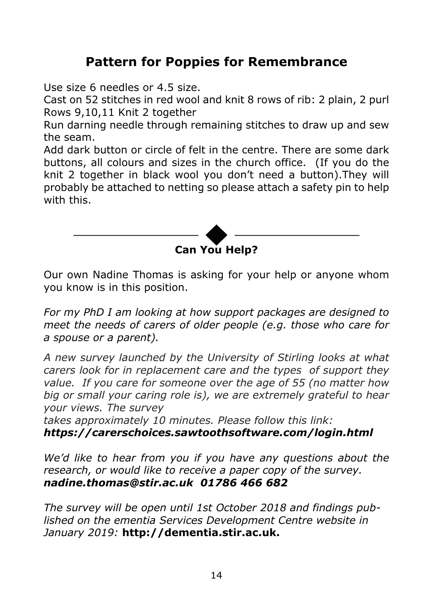## **Pattern for Poppies for Remembrance**

Use size 6 needles or 4.5 size.

Cast on 52 stitches in red wool and knit 8 rows of rib: 2 plain, 2 purl Rows 9,10,11 Knit 2 together

Run darning needle through remaining stitches to draw up and sew the seam.

Add dark button or circle of felt in the centre. There are some dark buttons, all colours and sizes in the church office. (If you do the knit 2 together in black wool you don't need a button).They will probably be attached to netting so please attach a safety pin to help with this.



Our own Nadine Thomas is asking for your help or anyone whom you know is in this position.

*For my PhD I am looking at how support packages are designed to meet the needs of carers of older people (e.g. those who care for a spouse or a parent). that you would prefer.*

*A new survey launched by the University of Stirling looks at what carers look for in replacement care and the types of support they value. If you care for someone over the age of 55 (no matter how big or small your caring role is), we are extremely grateful to hear your views. The survey*

*takes approximately 10 minutes. Please follow this link: https://carerschoices.sawtoothsoftware.com/login.html*

*We'd like to hear from you if you have any questions about the research, or would like to receive a paper copy of the survey. nadine.thomas@stir.ac.uk 01786 466 682*

*The survey will be open until 1st October 2018 and findings published on the ementia Services Development Centre website in January 2019:* **http://dementia.stir.ac.uk.**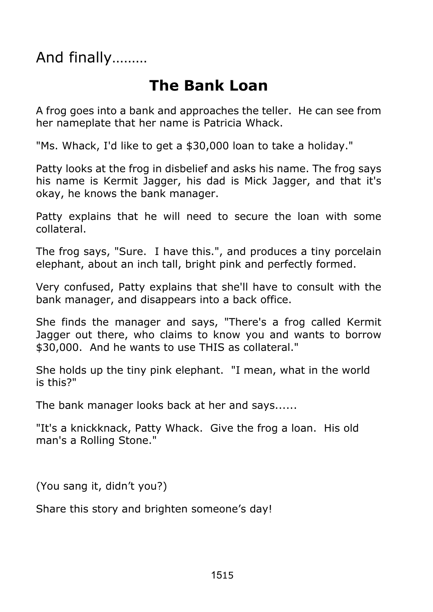And finally………

## **The Bank Loan**

A frog goes into a bank and approaches the teller. He can see from her nameplate that her name is Patricia Whack.

"Ms. Whack, I'd like to get a \$30,000 loan to take a holiday."

Patty looks at the frog in disbelief and asks his name. The frog says his name is Kermit Jagger, his dad is Mick Jagger, and that it's okay, he knows the bank manager.

Patty explains that he will need to secure the loan with some collateral.

The frog says, "Sure. I have this.", and produces a tiny porcelain elephant, about an inch tall, bright pink and perfectly formed.

Very confused, Patty explains that she'll have to consult with the bank manager, and disappears into a back office.

She finds the manager and says, "There's a frog called Kermit Jagger out there, who claims to know you and wants to borrow \$30,000. And he wants to use THIS as collateral."

She holds up the tiny pink elephant. "I mean, what in the world is this?"

The bank manager looks back at her and says......

"It's a knickknack, Patty Whack. Give the frog a loan. His old man's a Rolling Stone."

(You sang it, didn't you?)

Share this story and brighten someone's day!